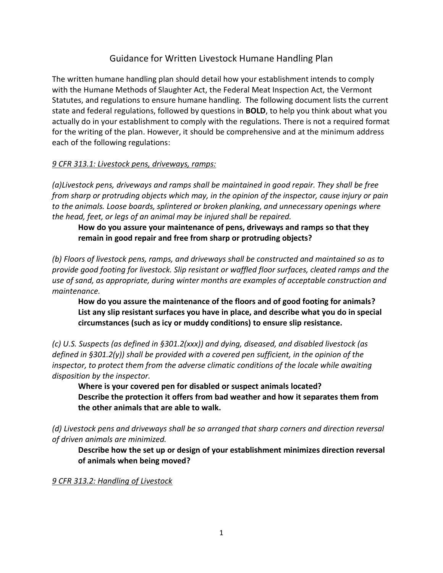## Guidance for Written Livestock Humane Handling Plan

The written humane handling plan should detail how your establishment intends to comply with the Humane Methods of Slaughter Act, the Federal Meat Inspection Act, the Vermont Statutes, and regulations to ensure humane handling. The following document lists the current state and federal regulations, followed by questions in **BOLD**, to help you think about what you actually do in your establishment to comply with the regulations. There is not a required format for the writing of the plan. However, it should be comprehensive and at the minimum address each of the following regulations:

### *9 CFR 313.1: Livestock pens, driveways, ramps:*

*(a)Livestock pens, driveways and ramps shall be maintained in good repair. They shall be free from sharp or protruding objects which may, in the opinion of the inspector, cause injury or pain to the animals. Loose boards, splintered or broken planking, and unnecessary openings where the head, feet, or legs of an animal may be injured shall be repaired.*

**How do you assure your maintenance of pens, driveways and ramps so that they remain in good repair and free from sharp or protruding objects?**

*(b) Floors of livestock pens, ramps, and driveways shall be constructed and maintained so as to provide good footing for livestock. Slip resistant or waffled floor surfaces, cleated ramps and the use of sand, as appropriate, during winter months are examples of acceptable construction and maintenance.*

**How do you assure the maintenance of the floors and of good footing for animals? List any slip resistant surfaces you have in place, and describe what you do in special circumstances (such as icy or muddy conditions) to ensure slip resistance.**

*(c) U.S. Suspects (as defined in §301.2(xxx)) and dying, diseased, and disabled livestock (as defined in §301.2(y)) shall be provided with a covered pen sufficient, in the opinion of the inspector, to protect them from the adverse climatic conditions of the locale while awaiting disposition by the inspector.*

**Where is your covered pen for disabled or suspect animals located? Describe the protection it offers from bad weather and how it separates them from the other animals that are able to walk.**

*(d) Livestock pens and driveways shall be so arranged that sharp corners and direction reversal of driven animals are minimized.*

**Describe how the set up or design of your establishment minimizes direction reversal of animals when being moved?**

*9 CFR 313.2: Handling of Livestock*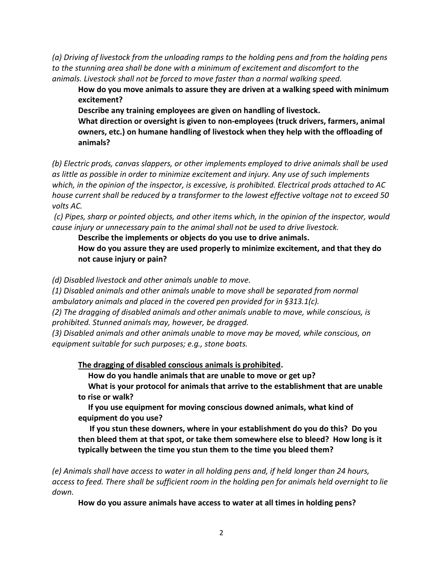*(a) Driving of livestock from the unloading ramps to the holding pens and from the holding pens to the stunning area shall be done with a minimum of excitement and discomfort to the animals. Livestock shall not be forced to move faster than a normal walking speed.*

**How do you move animals to assure they are driven at a walking speed with minimum excitement?** 

**Describe any training employees are given on handling of livestock. What direction or oversight is given to non-employees (truck drivers, farmers, animal owners, etc.) on humane handling of livestock when they help with the offloading of animals?**

*(b) Electric prods, canvas slappers, or other implements employed to drive animals shall be used as little as possible in order to minimize excitement and injury. Any use of such implements which, in the opinion of the inspector, is excessive, is prohibited. Electrical prods attached to AC house current shall be reduced by a transformer to the lowest effective voltage not to exceed 50 volts AC.*

*(c) Pipes, sharp or pointed objects, and other items which, in the opinion of the inspector, would cause injury or unnecessary pain to the animal shall not be used to drive livestock.*

**Describe the implements or objects do you use to drive animals.** 

**How do you assure they are used properly to minimize excitement, and that they do not cause injury or pain?** 

*(d) Disabled livestock and other animals unable to move.*

*(1) Disabled animals and other animals unable to move shall be separated from normal ambulatory animals and placed in the covered pen provided for in §313.1(c).*

*(2) The dragging of disabled animals and other animals unable to move, while conscious, is prohibited. Stunned animals may, however, be dragged.*

*(3) Disabled animals and other animals unable to move may be moved, while conscious, on equipment suitable for such purposes; e.g., stone boats.*

**The dragging of disabled conscious animals is prohibited.** 

 **How do you handle animals that are unable to move or get up?**

 **What is your protocol for animals that arrive to the establishment that are unable to rise or walk?**

 **If you use equipment for moving conscious downed animals, what kind of equipment do you use?** 

**If you stun these downers, where in your establishment do you do this? Do you then bleed them at that spot, or take them somewhere else to bleed? How long is it typically between the time you stun them to the time you bleed them?**

*(e) Animals shall have access to water in all holding pens and, if held longer than 24 hours, access to feed. There shall be sufficient room in the holding pen for animals held overnight to lie down.*

**How do you assure animals have access to water at all times in holding pens?**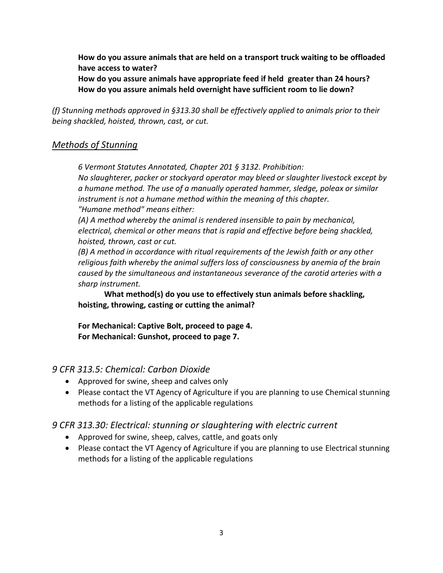**How do you assure animals that are held on a transport truck waiting to be offloaded have access to water?**

**How do you assure animals have appropriate feed if held greater than 24 hours? How do you assure animals held overnight have sufficient room to lie down?**

*(f) Stunning methods approved in §313.30 shall be effectively applied to animals prior to their being shackled, hoisted, thrown, cast, or cut.*

## *Methods of Stunning*

*6 Vermont Statutes Annotated, Chapter 201 § 3132. Prohibition:*

*No slaughterer, packer or stockyard operator may bleed or slaughter livestock except by a humane method. The use of a manually operated hammer, sledge, poleax or similar instrument is not a humane method within the meaning of this chapter. "Humane method" means either:*

*(A) A method whereby the animal is rendered insensible to pain by mechanical, electrical, chemical or other means that is rapid and effective before being shackled, hoisted, thrown, cast or cut.*

*(B) A method in accordance with ritual requirements of the Jewish faith or any other religious faith whereby the animal suffers loss of consciousness by anemia of the brain caused by the simultaneous and instantaneous severance of the carotid arteries with a sharp instrument.*

**What method(s) do you use to effectively stun animals before shackling, hoisting, throwing, casting or cutting the animal?** 

**For Mechanical: Captive Bolt, proceed to page 4. For Mechanical: Gunshot, proceed to page 7.**

## *9 CFR 313.5: Chemical: Carbon Dioxide*

- Approved for swine, sheep and calves only
- Please contact the VT Agency of Agriculture if you are planning to use Chemical stunning methods for a listing of the applicable regulations

# *9 CFR 313.30: Electrical: stunning or slaughtering with electric current*

- Approved for swine, sheep, calves, cattle, and goats only
- Please contact the VT Agency of Agriculture if you are planning to use Electrical stunning methods for a listing of the applicable regulations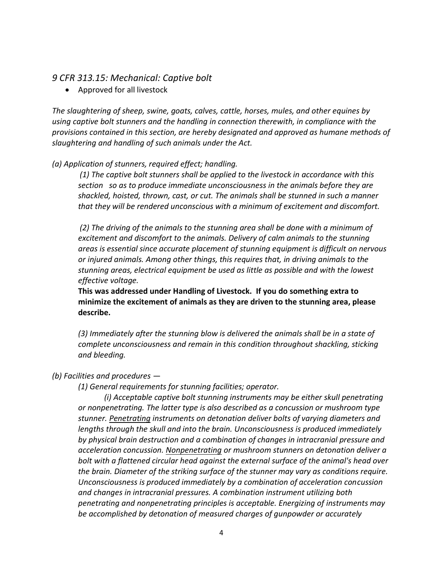### *9 CFR 313.15: Mechanical: Captive bolt*

• Approved for all livestock

*The slaughtering of sheep, swine, goats, calves, cattle, horses, mules, and other equines by using captive bolt stunners and the handling in connection therewith, in compliance with the provisions contained in this section, are hereby designated and approved as humane methods of slaughtering and handling of such animals under the Act.*

#### *(a) Application of stunners, required effect; handling.*

*(1) The captive bolt stunners shall be applied to the livestock in accordance with this section so as to produce immediate unconsciousness in the animals before they are shackled, hoisted, thrown, cast, or cut. The animals shall be stunned in such a manner that they will be rendered unconscious with a minimum of excitement and discomfort.*

*(2) The driving of the animals to the stunning area shall be done with a minimum of excitement and discomfort to the animals. Delivery of calm animals to the stunning areas is essential since accurate placement of stunning equipment is difficult on nervous or injured animals. Among other things, this requires that, in driving animals to the stunning areas, electrical equipment be used as little as possible and with the lowest effective voltage.*

**This was addressed under Handling of Livestock. If you do something extra to minimize the excitement of animals as they are driven to the stunning area, please describe.**

*(3) Immediately after the stunning blow is delivered the animals shall be in a state of complete unconsciousness and remain in this condition throughout shackling, sticking and bleeding.*

#### *(b) Facilities and procedures —*

*(1) General requirements for stunning facilities; operator.* 

*(i) Acceptable captive bolt stunning instruments may be either skull penetrating or nonpenetrating. The latter type is also described as a concussion or mushroom type stunner. Penetrating instruments on detonation deliver bolts of varying diameters and lengths through the skull and into the brain. Unconsciousness is produced immediately by physical brain destruction and a combination of changes in intracranial pressure and acceleration concussion. Nonpenetrating or mushroom stunners on detonation deliver a bolt with a flattened circular head against the external surface of the animal's head over the brain. Diameter of the striking surface of the stunner may vary as conditions require. Unconsciousness is produced immediately by a combination of acceleration concussion and changes in intracranial pressures. A combination instrument utilizing both penetrating and nonpenetrating principles is acceptable. Energizing of instruments may be accomplished by detonation of measured charges of gunpowder or accurately*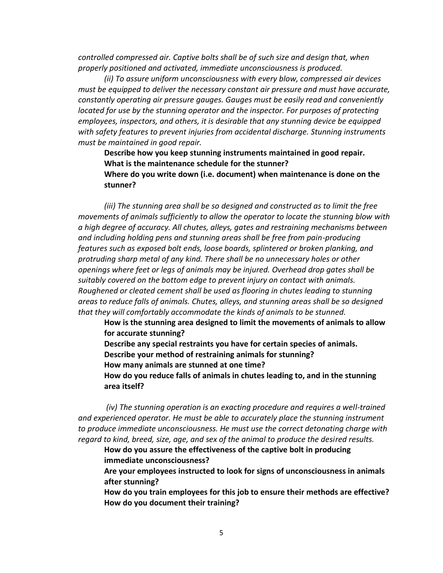*controlled compressed air. Captive bolts shall be of such size and design that, when properly positioned and activated, immediate unconsciousness is produced.*

*(ii) To assure uniform unconsciousness with every blow, compressed air devices must be equipped to deliver the necessary constant air pressure and must have accurate, constantly operating air pressure gauges. Gauges must be easily read and conveniently located for use by the stunning operator and the inspector. For purposes of protecting employees, inspectors, and others, it is desirable that any stunning device be equipped with safety features to prevent injuries from accidental discharge. Stunning instruments must be maintained in good repair.*

**Describe how you keep stunning instruments maintained in good repair. What is the maintenance schedule for the stunner? Where do you write down (i.e. document) when maintenance is done on the** 

*(iii) The stunning area shall be so designed and constructed as to limit the free movements of animals sufficiently to allow the operator to locate the stunning blow with a high degree of accuracy. All chutes, alleys, gates and restraining mechanisms between and including holding pens and stunning areas shall be free from pain-producing features such as exposed bolt ends, loose boards, splintered or broken planking, and protruding sharp metal of any kind. There shall be no unnecessary holes or other openings where feet or legs of animals may be injured. Overhead drop gates shall be suitably covered on the bottom edge to prevent injury on contact with animals. Roughened or cleated cement shall be used as flooring in chutes leading to stunning areas to reduce falls of animals. Chutes, alleys, and stunning areas shall be so designed that they will comfortably accommodate the kinds of animals to be stunned.*

**How is the stunning area designed to limit the movements of animals to allow for accurate stunning?**

**Describe any special restraints you have for certain species of animals. Describe your method of restraining animals for stunning?** 

**How many animals are stunned at one time?**

**stunner?**

**How do you reduce falls of animals in chutes leading to, and in the stunning area itself?**

*(iv) The stunning operation is an exacting procedure and requires a well-trained and experienced operator. He must be able to accurately place the stunning instrument to produce immediate unconsciousness. He must use the correct detonating charge with regard to kind, breed, size, age, and sex of the animal to produce the desired results.*

**How do you assure the effectiveness of the captive bolt in producing immediate unconsciousness?** 

**Are your employees instructed to look for signs of unconsciousness in animals after stunning?**

**How do you train employees for this job to ensure their methods are effective? How do you document their training?**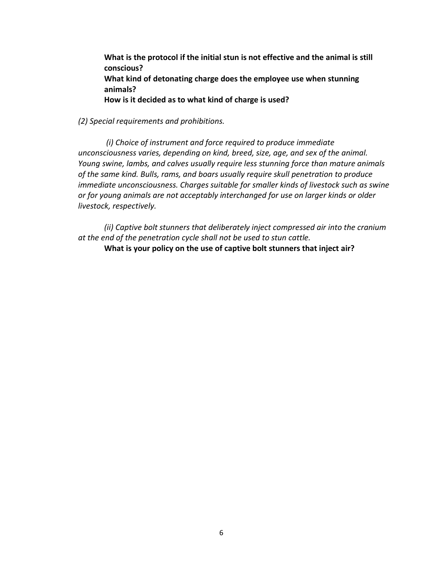**What is the protocol if the initial stun is not effective and the animal is still conscious? What kind of detonating charge does the employee use when stunning animals? How is it decided as to what kind of charge is used?** 

#### *(2) Special requirements and prohibitions.*

*(i) Choice of instrument and force required to produce immediate unconsciousness varies, depending on kind, breed, size, age, and sex of the animal. Young swine, lambs, and calves usually require less stunning force than mature animals of the same kind. Bulls, rams, and boars usually require skull penetration to produce immediate unconsciousness. Charges suitable for smaller kinds of livestock such as swine or for young animals are not acceptably interchanged for use on larger kinds or older livestock, respectively.*

*(ii) Captive bolt stunners that deliberately inject compressed air into the cranium at the end of the penetration cycle shall not be used to stun cattle.*

**What is your policy on the use of captive bolt stunners that inject air?**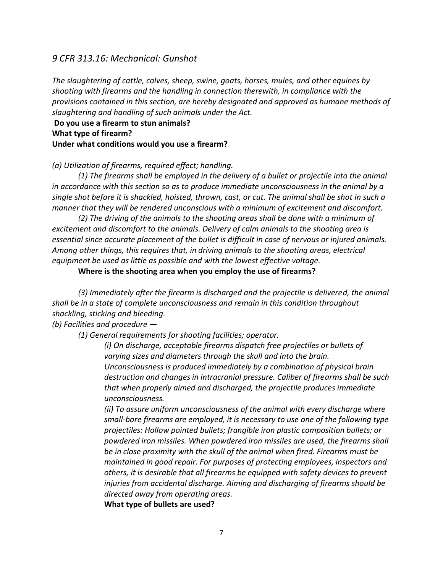## *9 CFR 313.16: Mechanical: Gunshot*

*The slaughtering of cattle, calves, sheep, swine, goats, horses, mules, and other equines by shooting with firearms and the handling in connection therewith, in compliance with the provisions contained in this section, are hereby designated and approved as humane methods of slaughtering and handling of such animals under the Act.*

**Do you use a firearm to stun animals? What type of firearm? Under what conditions would you use a firearm?**

#### *(a) Utilization of firearms, required effect; handling.*

*(1) The firearms shall be employed in the delivery of a bullet or projectile into the animal in accordance with this section so as to produce immediate unconsciousness in the animal by a single shot before it is shackled, hoisted, thrown, cast, or cut. The animal shall be shot in such a manner that they will be rendered unconscious with a minimum of excitement and discomfort.*

*(2) The driving of the animals to the shooting areas shall be done with a minimum of excitement and discomfort to the animals. Delivery of calm animals to the shooting area is essential since accurate placement of the bullet is difficult in case of nervous or injured animals. Among other things, this requires that, in driving animals to the shooting areas, electrical equipment be used as little as possible and with the lowest effective voltage.*

**Where is the shooting area when you employ the use of firearms?**

*(3) Immediately after the firearm is discharged and the projectile is delivered, the animal shall be in a state of complete unconsciousness and remain in this condition throughout shackling, sticking and bleeding.*

*(b) Facilities and procedure —*

*(1) General requirements for shooting facilities; operator.* 

*(i) On discharge, acceptable firearms dispatch free projectiles or bullets of varying sizes and diameters through the skull and into the brain. Unconsciousness is produced immediately by a combination of physical brain destruction and changes in intracranial pressure. Caliber of firearms shall be such that when properly aimed and discharged, the projectile produces immediate unconsciousness.*

*(ii) To assure uniform unconsciousness of the animal with every discharge where small-bore firearms are employed, it is necessary to use one of the following type projectiles: Hollow pointed bullets; frangible iron plastic composition bullets; or powdered iron missiles. When powdered iron missiles are used, the firearms shall be in close proximity with the skull of the animal when fired. Firearms must be maintained in good repair. For purposes of protecting employees, inspectors and others, it is desirable that all firearms be equipped with safety devices to prevent injuries from accidental discharge. Aiming and discharging of firearms should be directed away from operating areas.*

**What type of bullets are used?**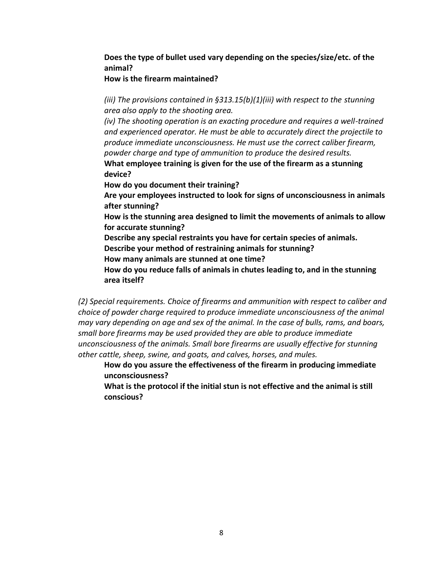# **Does the type of bullet used vary depending on the species/size/etc. of the animal?**

### **How is the firearm maintained?**

*(iii) The provisions contained in §313.15(b)(1)(iii) with respect to the stunning area also apply to the shooting area.*

*(iv)* The shooting operation is an exacting procedure and requires a well-trained *and experienced operator. He must be able to accurately direct the projectile to produce immediate unconsciousness. He must use the correct caliber firearm, powder charge and type of ammunition to produce the desired results.* **What employee training is given for the use of the firearm as a stunning** 

**device?**

**How do you document their training?**

**Are your employees instructed to look for signs of unconsciousness in animals after stunning?**

**How is the stunning area designed to limit the movements of animals to allow for accurate stunning?**

**Describe any special restraints you have for certain species of animals.**

**Describe your method of restraining animals for stunning?** 

**How many animals are stunned at one time?**

**How do you reduce falls of animals in chutes leading to, and in the stunning area itself?**

*(2) Special requirements. Choice of firearms and ammunition with respect to caliber and choice of powder charge required to produce immediate unconsciousness of the animal may vary depending on age and sex of the animal. In the case of bulls, rams, and boars, small bore firearms may be used provided they are able to produce immediate unconsciousness of the animals. Small bore firearms are usually effective for stunning other cattle, sheep, swine, and goats, and calves, horses, and mules.*

**How do you assure the effectiveness of the firearm in producing immediate unconsciousness?** 

**What is the protocol if the initial stun is not effective and the animal is still conscious?**